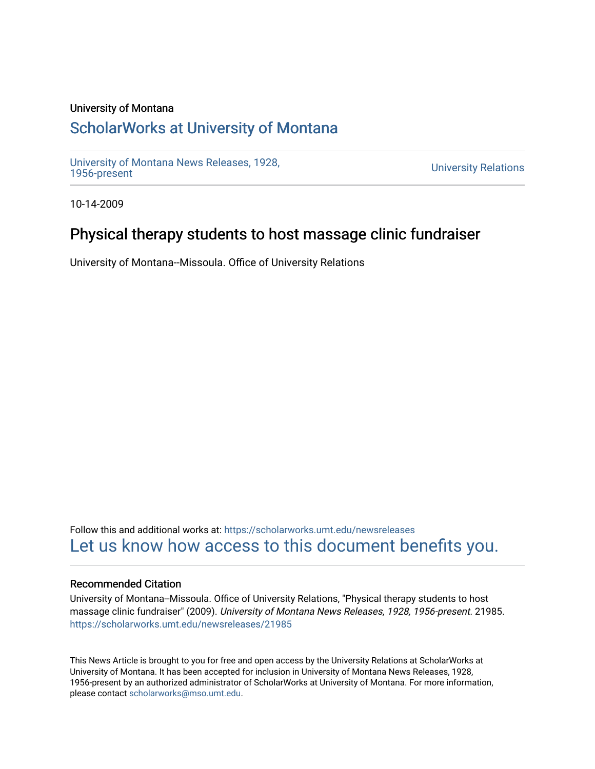#### University of Montana

# [ScholarWorks at University of Montana](https://scholarworks.umt.edu/)

[University of Montana News Releases, 1928,](https://scholarworks.umt.edu/newsreleases) 

**University Relations** 

10-14-2009

# Physical therapy students to host massage clinic fundraiser

University of Montana--Missoula. Office of University Relations

Follow this and additional works at: [https://scholarworks.umt.edu/newsreleases](https://scholarworks.umt.edu/newsreleases?utm_source=scholarworks.umt.edu%2Fnewsreleases%2F21985&utm_medium=PDF&utm_campaign=PDFCoverPages) [Let us know how access to this document benefits you.](https://goo.gl/forms/s2rGfXOLzz71qgsB2) 

#### Recommended Citation

University of Montana--Missoula. Office of University Relations, "Physical therapy students to host massage clinic fundraiser" (2009). University of Montana News Releases, 1928, 1956-present. 21985. [https://scholarworks.umt.edu/newsreleases/21985](https://scholarworks.umt.edu/newsreleases/21985?utm_source=scholarworks.umt.edu%2Fnewsreleases%2F21985&utm_medium=PDF&utm_campaign=PDFCoverPages) 

This News Article is brought to you for free and open access by the University Relations at ScholarWorks at University of Montana. It has been accepted for inclusion in University of Montana News Releases, 1928, 1956-present by an authorized administrator of ScholarWorks at University of Montana. For more information, please contact [scholarworks@mso.umt.edu.](mailto:scholarworks@mso.umt.edu)